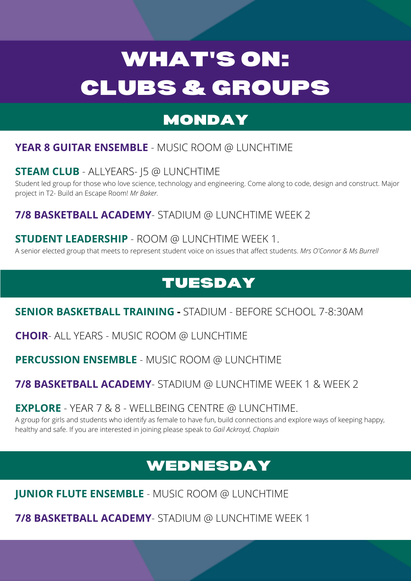# WHAT'S ON: CLUBS & GROUPS

# MONDAY

# TUESDAY

# **YEAR 8 GUITAR ENSEMBLE** - MUSIC ROOM @ LUNCHTIME

#### **STEAM CLUB** - ALLYEARS- J5 @ LUNCHTIME

Student led group for those who love science, technology and engineering. Come along to code, design and construct. Major project in T2- Build an Escape Room! *Mr Baker.*

## **7/8 BASKETBALL ACADEMY**- STADIUM @ LUNCHTIME WEEK 2

#### **STUDENT LEADERSHIP** - ROOM @ LUNCHTIME WEEK 1.

A senior elected group that meets to represent student voice on issues that affect students. *Mrs O'Connor & Ms Burrell*

**SENIOR BASKETBALL TRAINING -** STADIUM - BEFORE SCHOOL 7-8:30AM

#### **CHOIR**- ALL YEARS - MUSIC ROOM @ LUNCHTIME

## **PERCUSSION ENSEMBLE** - MUSIC ROOM @ LUNCHTIME

## **7/8 BASKETBALL ACADEMY**- STADIUM @ LUNCHTIME WEEK 1 & WEEK 2

#### **EXPLORE** - YEAR 7 & 8 - WELLBEING CENTRE @ LUNCHTIME.

A group for girls and students who identify as female to have fun, build connections and explore ways of keeping happy, healthy and safe. If you are interested in joining please speak to *Gail Ackroyd, Chaplain*

# WEDNESDAY

# **JUNIOR FLUTE ENSEMBLE** - MUSIC ROOM @ LUNCHTIME

**7/8 BASKETBALL ACADEMY**- STADIUM @ LUNCHTIME WEEK 1